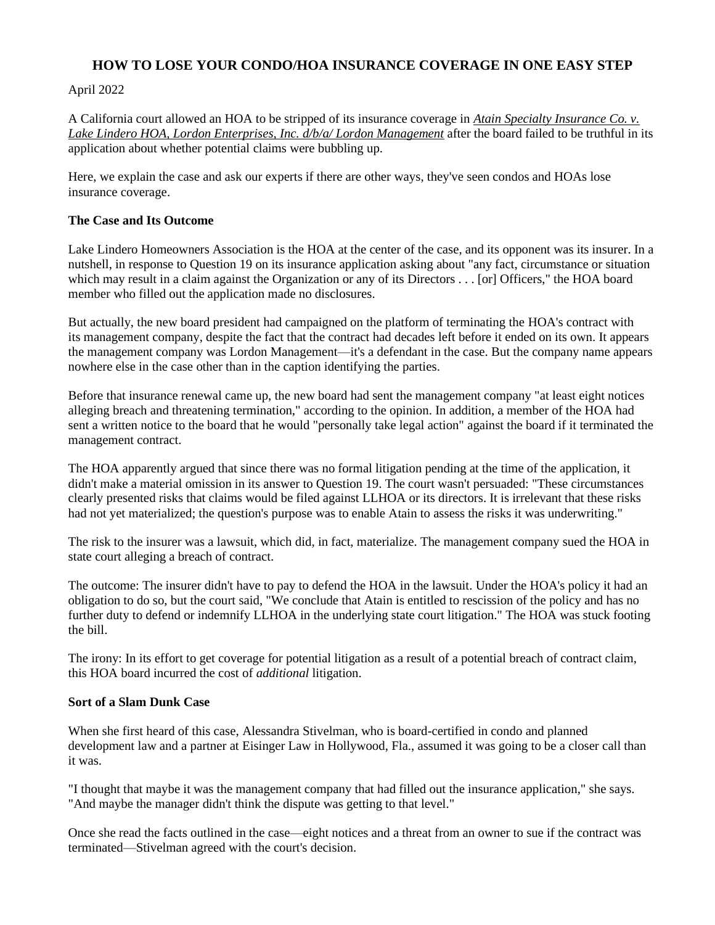# **HOW TO LOSE YOUR CONDO/HOA INSURANCE COVERAGE IN ONE EASY STEP**

### April 2022

A California court allowed an HOA to be stripped of its insurance coverage in *[Atain Specialty Insurance Co. v.](https://www.leagle.com/decision/infco20220207100)  [Lake Lindero HOA, Lordon Enterprises, Inc. d/b/a/ Lordon Management](https://www.leagle.com/decision/infco20220207100)* after the board failed to be truthful in its application about whether potential claims were bubbling up.

Here, we explain the case and ask our experts if there are other ways, they've seen condos and HOAs lose insurance coverage.

#### **The Case and Its Outcome**

Lake Lindero Homeowners Association is the HOA at the center of the case, and its opponent was its insurer. In a nutshell, in response to Question 19 on its [insurance application](https://www.hoaleader.com/public/HOA-and-Condo-Insurance.cfm) asking about "any fact, circumstance or situation which may result in a claim against the Organization or any of its Directors . . . [or] Officers," the HOA board member who filled out the application made no disclosures.

But actually, the new board president had campaigned on the platform of terminating the [HOA's contract](https://www.hoaleader.com/public/tags/Contracts) with its [management company,](https://www.hoaleader.com/public/HOA-Management-Companies.cfm) despite the fact that the contract had decades left before it ended on its own. It appears the management company was Lordon Management—it's a defendant in the case. But the company name appears nowhere else in the case other than in the caption identifying the parties.

Before that insurance renewal came up, the new board had sent the management company "at least eight notices alleging breach and threatening termination," according to the opinion. In addition, a member of the HOA had sent a written notice to the board that he would "personally take legal action" against the board if it terminated the management contract.

The HOA apparently argued that since there was no formal litigation pending at the time of the application, it didn't make a material omission in its answer to Question 19. The court wasn't persuaded: "These circumstances clearly presented risks that claims would be filed against LLHOA or its directors. It is irrelevant that these risks had not yet materialized; the question's purpose was to enable Atain to assess the risks it was underwriting."

The risk to the insurer was a lawsuit, which did, in fact, materialize. The management company sued the HOA in state court alleging a breach of contract.

The outcome: The insurer didn't have to pay to defend the HOA in the lawsuit. Under the HOA's policy it had an obligation to do so, but the court said, "We conclude that Atain is entitled to rescission of the policy and has no further duty to defend or indemnify LLHOA in the underlying state court litigation." The HOA was stuck footing the bill.

The irony: In its effort to get coverage for potential litigation as a result of a potential breach of contract claim, this HOA board incurred the cost of *additional* litigation.

#### **Sort of a Slam Dunk Case**

When she first heard of this case, [Alessandra Stivelman,](https://www.hoaleader.com/members/department130.cfm) who is board-certified in condo and planned development law and a partner at Eisinger Law in Hollywood, Fla., assumed it was going to be a closer call than it was.

"I thought that maybe it was the management company that had filled out the insurance application," she says. "And maybe the manager didn't think the dispute was getting to that level."

Once she read the facts outlined in the case—eight notices and a threat from an owner to sue if the contract was terminated—Stivelman agreed with the court's decision.